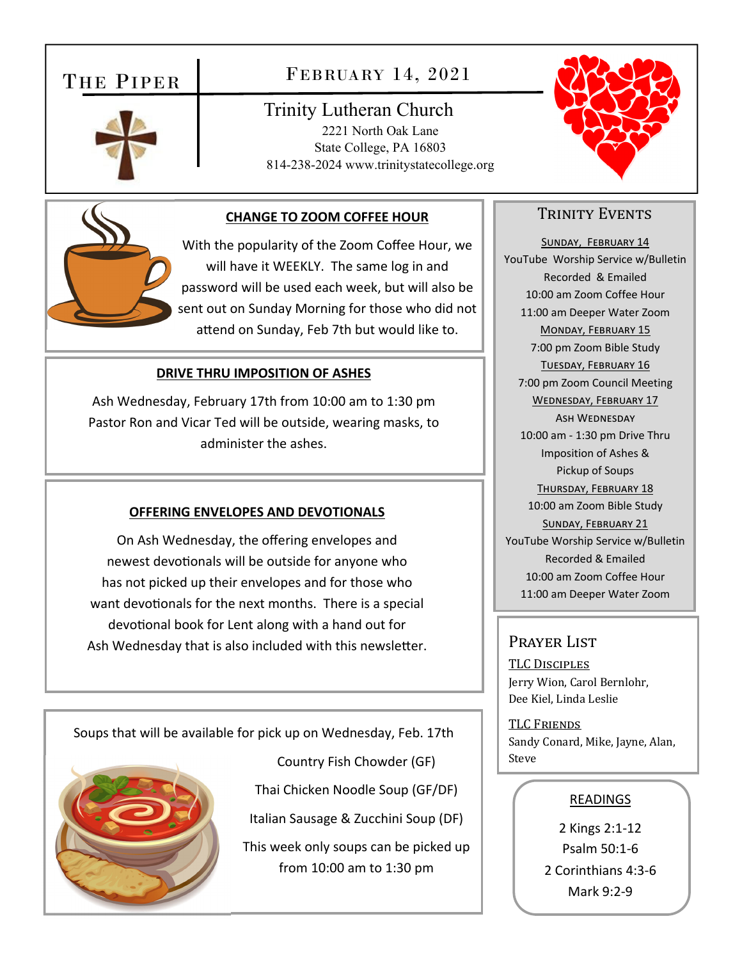# THE PIPER

# FEBRUARY 14, 2021

# Trinity Lutheran Church 2221 North Oak Lane State College, PA 16803 814-238-2024 www.trinitystatecollege.org





## **CHANGE TO ZOOM COFFEE HOUR**

With the popularity of the Zoom Coffee Hour, we will have it WEEKLY. The same log in and password will be used each week, but will also be sent out on Sunday Morning for those who did not attend on Sunday, Feb 7th but would like to.

#### **DRIVE THRU IMPOSITION OF ASHES**

Ash Wednesday, February 17th from 10:00 am to 1:30 pm Pastor Ron and Vicar Ted will be outside, wearing masks, to administer the ashes.

#### **OFFERING ENVELOPES AND DEVOTIONALS**

On Ash Wednesday, the offering envelopes and newest devotionals will be outside for anyone who has not picked up their envelopes and for those who want devotionals for the next months. There is a special devotional book for Lent along with a hand out for Ash Wednesday that is also included with this newsletter.

Soups that will be available for pick up on Wednesday, Feb. 17th



Country Fish Chowder (GF) Thai Chicken Noodle Soup (GF/DF) Italian Sausage & Zucchini Soup (DF)

This week only soups can be picked up from 10:00 am to 1:30 pm

## TRINITY EVENTS

SUNDAY, FEBRUARY 14 YouTube Worship Service w/Bulletin Recorded & Emailed 10:00 am Zoom Coffee Hour 11:00 am Deeper Water Zoom MONDAY, FEBRUARY 15 7:00 pm Zoom Bible Study TUESDAY, FEBRUARY 16 7:00 pm Zoom Council Meeting WEDNESDAY, FEBRUARY 17 ASH WEDNESDAY 10:00 am ‐ 1:30 pm Drive Thru Imposition of Ashes & Pickup of Soups THURSDAY, FEBRUARY 18 10:00 am Zoom Bible Study SUNDAY, FEBRUARY 21 YouTube Worship Service w/Bulletin Recorded & Emailed 10:00 am Zoom Coffee Hour 11:00 am Deeper Water Zoom

#### Prayer List

TLC DISCIPLES Jerry Wion, Carol Bernlohr, Dee Kiel, Linda Leslie

TLC FRIENDS Sandy Conard, Mike, Jayne, Alan, Steve

#### READINGS

2 Kings 2:1‐12 Psalm 50:1‐6 2 Corinthians 4:3‐6 Mark 9:2‐9